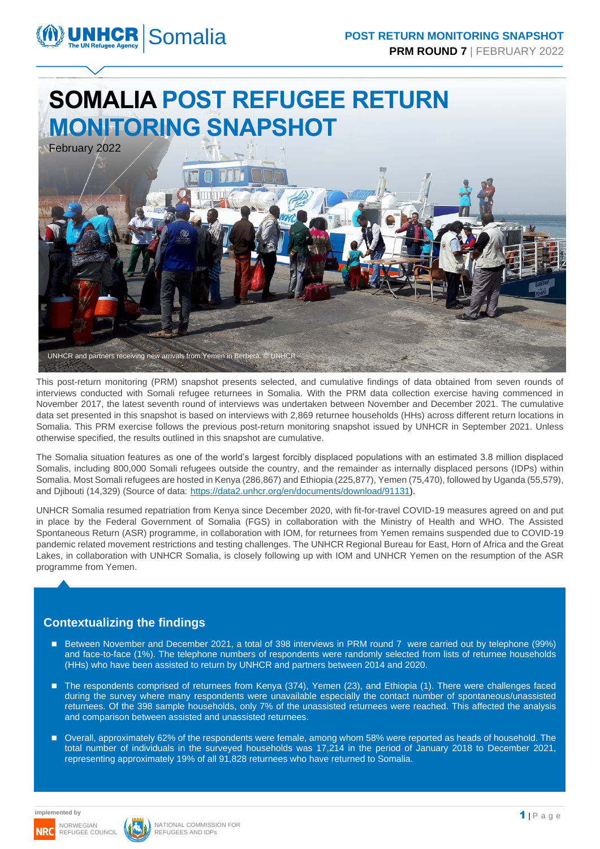# **SOMALIA POST REFUGEE RETURN MONITORING SNAPSHOT**



This post-return monitoring (PRM) snapshot presents selected, and cumulative findings of data obtained from seven rounds of interviews conducted with Somali refugee returnees in Somalia. With the PRM data collection exercise having commenced in November 2017, the latest seventh round of interviews was undertaken between November and December 2021. The cumulative data set presented in this snapshot is based on interviews with 2,869 returnee households (HHs) across different return locations in Somalia. This PRM exercise follows the previous post-return monitoring snapshot issued by UNHCR in September 2021. Unless otherwise specified, the results outlined in this snapshot are cumulative.

The Somalia situation features as one of the world's largest forcibly displaced populations with an estimated 3.8 million displaced Somalis, including 800,000 Somali refugees outside the country, and the remainder as internally displaced persons (IDPs) within Somalia. Most Somali refugees are hosted in Kenya (286,867) and Ethiopia (225,877), Yemen (75,470), followed by Uganda (55,579), and Djibouti (14,329) (Source of data: [https://data2.unhcr.org/en/documents/download/91131\)](https://data2.unhcr.org/en/documents/download/91131).

UNHCR Somalia resumed repatriation from Kenya since December 2020, with fit-for-travel COVID-19 measures agreed on and put in place by the Federal Government of Somalia (FGS) in collaboration with the Ministry of Health and WHO. The Assisted Spontaneous Return (ASR) programme, in collaboration with IOM, for returnees from Yemen remains suspended due to COVID-19 pandemic related movement restrictions and testing challenges. The UNHCR Regional Bureau for East, Horn of Africa and the Great Lakes, in collaboration with UNHCR Somalia, is closely following up with IOM and UNHCR Yemen on the resumption of the ASR programme from Yemen.

### **Contextualizing the findings**

- Between November and December 2021, a total of 398 interviews in PRM round 7 were carried out by telephone (99%) and face-to-face (1%). The telephone numbers of respondents were randomly selected from lists of returnee households (HHs) who have been assisted to return by UNHCR and partners between 2014 and 2020.
- The respondents comprised of returnees from Kenya (374), Yemen (23), and Ethiopia (1). There were challenges faced during the survey where many respondents were unavailable especially the contact number of spontaneous/unassisted returnees. Of the 398 sample households, only 7% of the unassisted returnees were reached. This affected the analysis and comparison between assisted and unassisted returnees.
- Overall, approximately 62% of the respondents were female, among whom 58% were reported as heads of household. The total number of individuals in the surveyed households was 17,214 in the period of January 2018 to December 2021, representing approximately 19% of all 91,828 returnees who have returned to Somalia.

**implemented by**

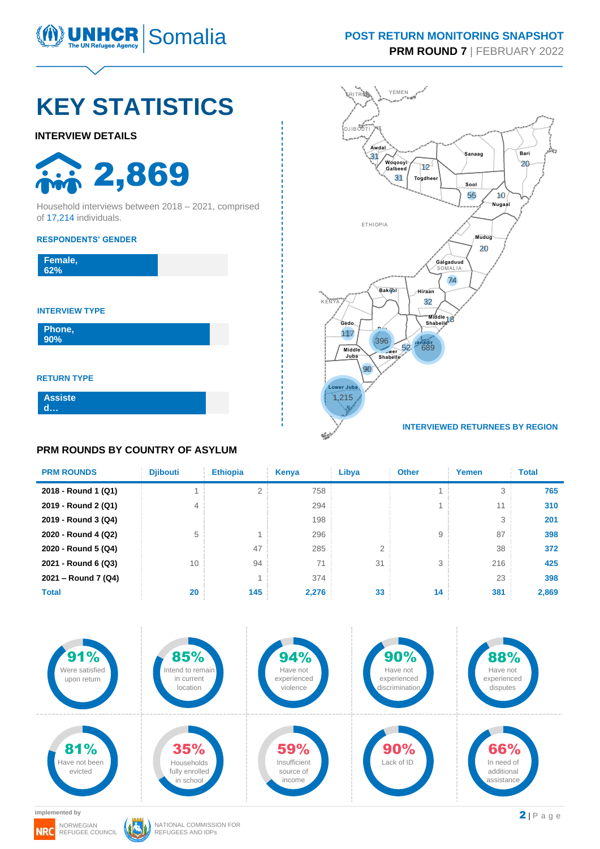

#### **POST RETURN MONITORING SNAPSHOT PRM ROUND 7** | FEBRUARY 2022

# **KEY STATISTICS**

#### **INTERVIEW DETAILS**

2,869

Household interviews between 2018 – 2021, comprised of 17,214 individuals.

#### **RESPONDENTS' GENDER**

| Female,<br>62% |  |  |
|----------------|--|--|
|                |  |  |

#### **INTERVIEW TYPE**

**Phone, 90%**

**RETURN TYPE**

**Assiste d …**

### **PRM ROUNDS BY COUNTRY OF ASYLUM**



| <b>PRM ROUNDS</b>   | <b>Diibouti</b> | <b>Ethiopia</b> | Kenya | Libya | <b>Other</b> | Yemen | <b>Total</b> |
|---------------------|-----------------|-----------------|-------|-------|--------------|-------|--------------|
| 2018 - Round 1 (Q1) |                 |                 | 758   |       |              | 3     | 765          |
| 2019 - Round 2 (Q1) | 4               |                 | 294   |       |              | 11    | 310          |
| 2019 - Round 3 (Q4) |                 |                 | 198   |       |              | 3     | 201          |
| 2020 - Round 4 (Q2) | 5               |                 | 296   |       | 9            | 87    | 398          |
| 2020 - Round 5 (Q4) |                 | 47              | 285   | 2     |              | 38    | 372          |
| 2021 - Round 6 (Q3) | 10              | 94              | 71    | 31    | 3            | 216   | 425          |
| 2021 - Round 7 (Q4) |                 |                 | 374   |       |              | 23    | 398          |
| <b>Total</b>        | 20              | 145             | 2,276 | 33    | 14           | 381   | 2,869        |



**implemented by**

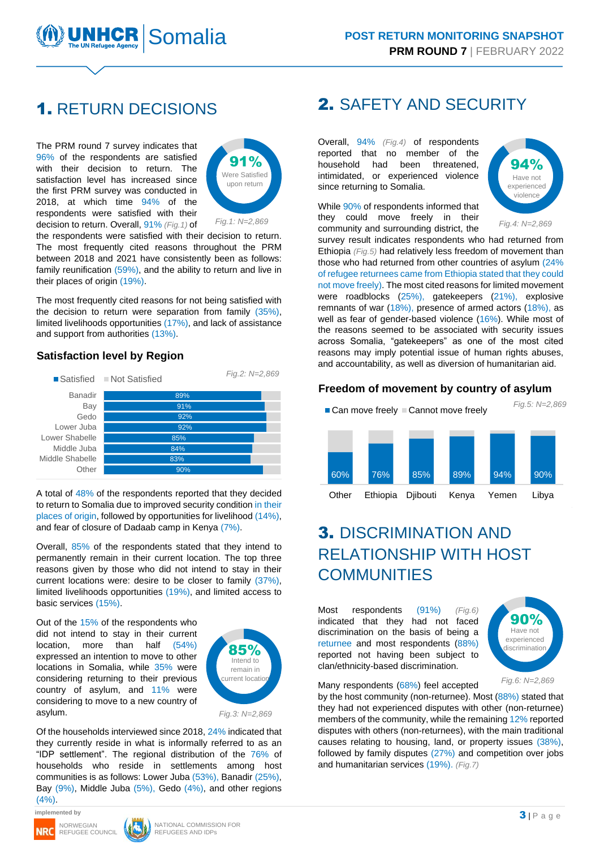

### 1. RETURN DECISIONS

The PRM round 7 survey indicates that 96% of the respondents are satisfied with their decision to return. The satisfaction level has increased since the first PRM survey was conducted in 2018, at which time 94% of the respondents were satisfied with their decision to return. Overall, 91% *(Fig.1)* of



the respondents were satisfied with their decision to return. The most frequently cited reasons throughout the PRM between 2018 and 2021 have consistently been as follows: family reunification (59%), and the ability to return and live in their places of origin (19%).

The most frequently cited reasons for not being satisfied with the decision to return were separation from family (35%), limited livelihoods opportunities (17%), and lack of assistance and support from authorities (13%).

#### **Satisfaction level by Region**



A total of 48% of the respondents reported that they decided to return to Somalia due to improved security condition in their places of origin, followed by opportunities for livelihood (14%), and fear of closure of Dadaab camp in Kenya (7%).

Overall, 85% of the respondents stated that they intend to permanently remain in their current location. The top three reasons given by those who did not intend to stay in their current locations were: desire to be closer to family (37%), limited livelihoods opportunities (19%), and limited access to basic services (15%).

Out of the 15% of the respondents who did not intend to stay in their current location, more than half (54%) expressed an intention to move to other locations in Somalia, while 35% were considering returning to their previous country of asylum, and 11% were considering to move to a new country of asylum.



*Fig.3: N=2,869*

Of the households interviewed since 2018, 24% indicated that they currently reside in what is informally referred to as an "IDP settlement". The regional distribution of the 76% of households who reside in settlements among host communities is as follows: Lower Juba (53%), Banadir (25%), Bay (9%), Middle Juba (5%), Gedo (4%), and other regions  $(4%).$ 

**implemented by**





### 2. SAFETY AND SECURITY

Overall, 94% *(Fig.4)* of respondents reported that no member of the household had been threatened, intimidated, or experienced violence since returning to Somalia.

While 90% of respondents informed that they could move freely in their community and surrounding district, the



SOMETHE TREATY AND SECURITY<br>
CISIONS PRIMEROM MONDIVITEES (NATY 2022)<br>
CISIONS 2. SAFETY AND SECURITY<br>
CHEME ROUNDY IFERENDARY 2022<br>
CISIONS 2. SAFETY AND SECURITY<br>
CHEME ROUNDY IFERENDARY 2022<br>
CHEME ROUNDY ACTIONS 2. SA survey result indicates respondents who had returned from Ethiopia *(Fig.5)* had relatively less freedom of movement than those who had returned from other countries of asylum (24% of refugee returnees came from Ethiopia stated that they could not move freely). The most cited reasons for limited movement were roadblocks (25%), gatekeepers (21%), explosive remnants of war (18%), presence of armed actors (18%), as well as fear of gender-based violence (16%). While most of the reasons seemed to be associated with security issues across Somalia, "gatekeepers" as one of the most cited reasons may imply potential issue of human rights abuses, and accountability, as well as diversion of humanitarian aid.

#### **Freedom of movement by country of asylum**



### 3. DISCRIMINATION AND RELATIONSHIP WITH HOST **COMMUNITIES**

Most respondents (91%) *(Fig.6)* indicated that they had not faced discrimination on the basis of being a returnee and most respondents (88%) reported not having been subject to clan/ethnicity-based discrimination.



Many respondents (68%) feel accepted

by the host community (non-returnee). Most (88%) stated that they had not experienced disputes with other (non-returnee) members of the community, while the remaining 12% reported disputes with others (non-returnees), with the main traditional causes relating to housing, land, or property issues (38%), followed by family disputes (27%) and competition over jobs and humanitarian services (19%). *(Fig.7)*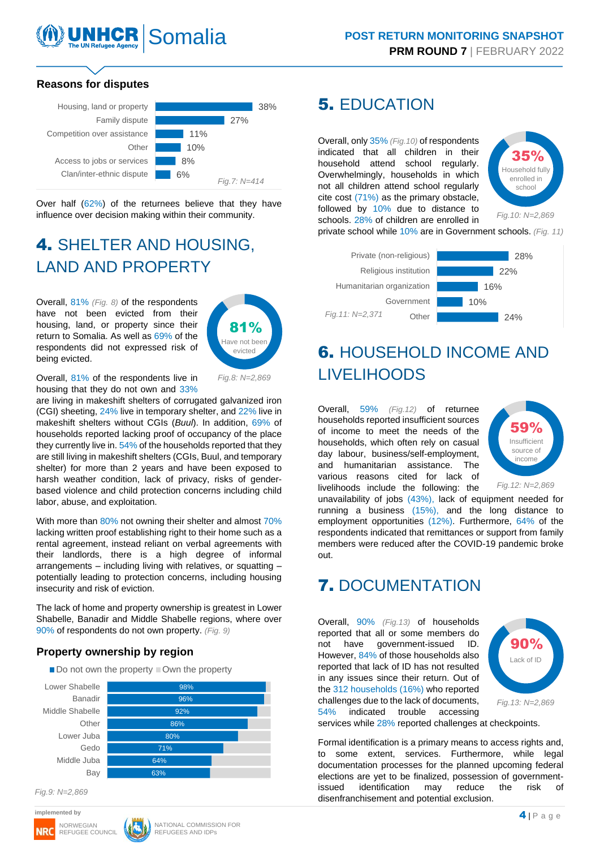# UN Refugee Agency

#### **Reasons for disputes**



Over half (62%) of the returnees believe that they have influence over decision making within their community.

## 4. SHELTER AND HOUSING, LAND AND PROPERTY

Overall, 81% *(Fig. 8)* of the respondents have not been evicted from their housing, land, or property since their return to Somalia. As well as 69% of the respondents did not expressed risk of being evicted.



Overall, 81% of the respondents live in housing that they do not own and 33%

are living in makeshift shelters of corrugated galvanized iron (CGI) sheeting, 24% live in temporary shelter, and 22% live in makeshift shelters without CGIs (*Buul*). In addition, 69% of households reported lacking proof of occupancy of the place they currently live in. 54% of the households reported that they are still living in makeshift shelters (CGIs, Buul, and temporary shelter) for more than 2 years and have been exposed to harsh weather condition, lack of privacy, risks of genderbased violence and child protection concerns including child labor, abuse, and exploitation.

With more than 80% not owning their shelter and almost 70% lacking written proof establishing right to their home such as a rental agreement, instead reliant on verbal agreements with their landlords, there is a high degree of informal arrangements – including living with relatives, or squatting – potentially leading to protection concerns, including housing insecurity and risk of eviction.

The lack of home and property ownership is greatest in Lower Shabelle, Banadir and Middle Shabelle regions, where over 90% of respondents do not own property. *(Fig. 9)*

#### **Property ownership by region**

| $\blacksquare$ Do not own the property $\blacksquare$ Own the property |  |
|------------------------------------------------------------------------|--|
|                                                                        |  |



*Fig.9: N=2,869*





### 5. EDUCATION

Overall, only 35% *(Fig.10)* of respondents indicated that all children in their household attend school regularly. Overwhelmingly, households in which not all children attend school regularly cite cost (71%) as the primary obstacle, followed by 10% due to distance to schools. 28% of children are enrolled in



private school while 10% are in Government schools. *(Fig. 11)*



## 6. HOUSEHOLD INCOME AND LIVELIHOODS

Overall, 59% *(Fig.12)* of returnee households reported insufficient sources of income to meet the needs of the households, which often rely on casual day labour, business/self-employment, and humanitarian assistance. The various reasons cited for lack of livelihoods include the following: the



*Fig.12: N=2,869*

unavailability of jobs (43%), lack of equipment needed for running a business (15%), and the long distance to employment opportunities (12%). Furthermore, 64% of the respondents indicated that remittances or support from family members were reduced after the COVID-19 pandemic broke out.

### 7. DOCUMENTATION

Overall, 90% *(Fig.13)* of households reported that all or some members do not have government-issued ID. However, 84% of those households also reported that lack of ID has not resulted in any issues since their return. Out of the 312 households (16%) who reported challenges due to the lack of documents, 54% indicated trouble accessing



*Fig.13: N=2,869*

services while 28% reported challenges at checkpoints.

Formal identification is a primary means to access rights and, to some extent, services. Furthermore, while legal documentation processes for the planned upcoming federal elections are yet to be finalized, possession of governmentissued identification may reduce the risk of disenfranchisement and potential exclusion.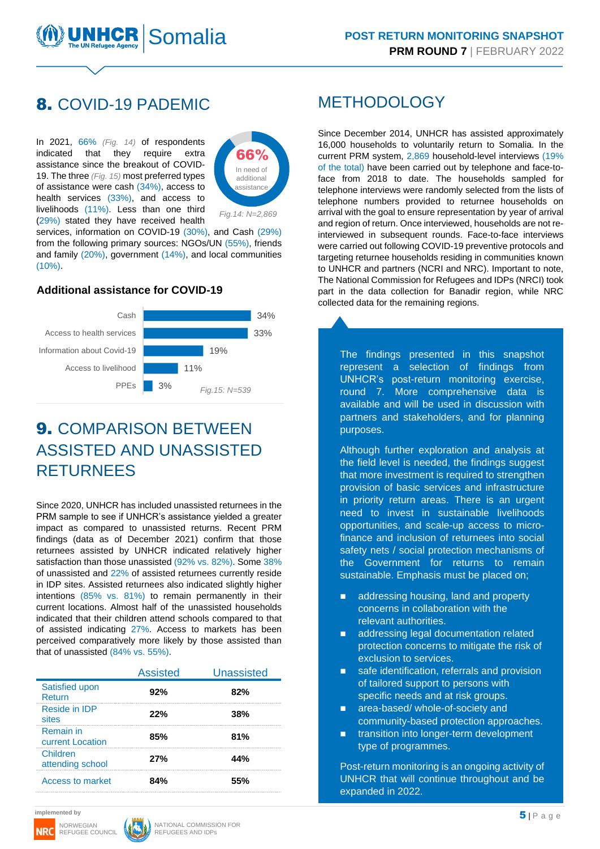### 8. COVID-19 PADEMIC

In 2021, 66% *(Fig. 14)* of respondents indicated that they require extra assistance since the breakout of COVID-19. The three *(Fig. 15)* most preferred types of assistance were cash (34%), access to health services (33%), and access to livelihoods (11%). Less than one third (29%) stated they have received health



*Fig.14: N=2,869*

services, information on COVID-19 (30%), and Cash (29%) from the following primary sources: NGOs/UN (55%), friends and family (20%), government (14%), and local communities (10%).

#### **Additional assistance for COVID-19**



### 9. COMPARISON BETWEEN ASSISTED AND UNASSISTED RETURNEES

Since 2020, UNHCR has included unassisted returnees in the PRM sample to see if UNHCR's assistance yielded a greater impact as compared to unassisted returns. Recent PRM findings (data as of December 2021) confirm that those returnees assisted by UNHCR indicated relatively higher satisfaction than those unassisted (92% vs. 82%). Some 38% of unassisted and 22% of assisted returnees currently reside in IDP sites. Assisted returnees also indicated slightly higher intentions (85% vs. 81%) to remain permanently in their current locations. Almost half of the unassisted households indicated that their children attend schools compared to that of assisted indicating 27%. Access to markets has been perceived comparatively more likely by those assisted than that of unassisted (84% vs. 55%).

|                               | <b>Assisted</b> | <b>Unassisted</b> |
|-------------------------------|-----------------|-------------------|
| Satisfied upon<br>Return      | 92%             | 82%               |
| Reside in IDP<br>sites        | 22%             | 38%               |
| Remain in<br>current Location | 85%             | 81%               |
| Children<br>attending school  | 27%             | 44%               |
| Access to market              | 84%             | 55%               |

### **METHODOLOGY**

5 | P a g e Somalia Since December 2014, UNHCR has assisted approximately 16,000 households to voluntarily return to Somalia. In the current PRM system, 2,869 household-level interviews (19% of the total) have been carried out by telephone and face-toface from 2018 to date. The households sampled for telephone interviews were randomly selected from the lists of telephone numbers provided to returnee households on arrival with the goal to ensure representation by year of arrival and region of return. Once interviewed, households are not reinterviewed in subsequent rounds. Face-to-face interviews were carried out following COVID-19 preventive protocols and targeting returnee households residing in communities known to UNHCR and partners (NCRI and NRC). Important to note, The National Commission for Refugees and IDPs (NRCI) took part in the data collection for Banadir region, while NRC collected data for the remaining regions.

The findings presented in this snapshot represent a selection of findings from UNHCR's post-return monitoring exercise, round 7. More comprehensive data is available and will be used in discussion with partners and stakeholders, and for planning purposes.

Although further exploration and analysis at the field level is needed, the findings suggest that more investment is required to strengthen provision of basic services and infrastructure in priority return areas. There is an urgent need to invest in sustainable livelihoods opportunities, and scale-up access to microfinance and inclusion of returnees into social safety nets / social protection mechanisms of the Government for returns to remain sustainable. Emphasis must be placed on:

- addressing housing, land and property concerns in collaboration with the relevant authorities.
- addressing legal documentation related protection concerns to mitigate the risk of exclusion to services.
- safe identification, referrals and provision of tailored support to persons with specific needs and at risk groups.
- area-based/ whole-of-society and community-based protection approaches.
- transition into longer-term development type of programmes.

Post-return monitoring is an ongoing activity of UNHCR that will continue throughout and be expanded in 2022.